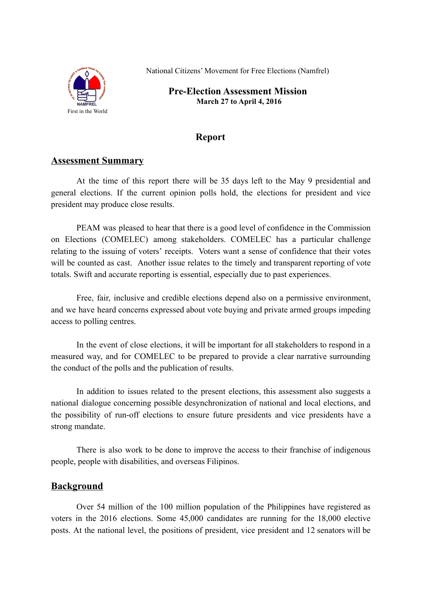

National Citizens' Movement for Free Elections (Namfrel)

**Pre-Election Assessment Mission March 27 to April 4, 2016**

# **Report**

# **Assessment Summary**

At the time of this report there will be 35 days left to the May 9 presidential and general elections. If the current opinion polls hold, the elections for president and vice president may produce close results.

PEAM was pleased to hear that there is a good level of confidence in the Commission on Elections (COMELEC) among stakeholders. COMELEC has a particular challenge relating to the issuing of voters' receipts. Voters want a sense of confidence that their votes will be counted as cast. Another issue relates to the timely and transparent reporting of vote totals. Swift and accurate reporting is essential, especially due to past experiences.

Free, fair, inclusive and credible elections depend also on a permissive environment, and we have heard concerns expressed about vote buying and private armed groups impeding access to polling centres.

In the event of close elections, it will be important for all stakeholders to respond in a measured way, and for COMELEC to be prepared to provide a clear narrative surrounding the conduct of the polls and the publication of results.

In addition to issues related to the present elections, this assessment also suggests a national dialogue concerning possible desynchronization of national and local elections, and the possibility of run-off elections to ensure future presidents and vice presidents have a strong mandate.

There is also work to be done to improve the access to their franchise of indigenous people, people with disabilities, and overseas Filipinos.

# **Background**

Over 54 million of the 100 million population of the Philippines have registered as voters in the 2016 elections. Some 45,000 candidates are running for the 18,000 elective posts. At the national level, the positions of president, vice president and 12 senators will be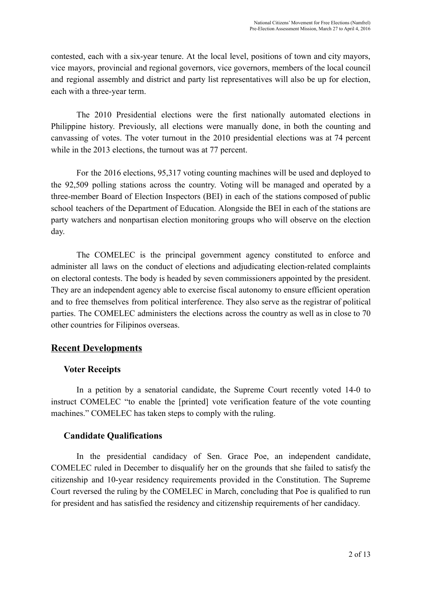contested, each with a six-year tenure. At the local level, positions of town and city mayors, vice mayors, provincial and regional governors, vice governors, members of the local council and regional assembly and district and party list representatives will also be up for election, each with a three-year term.

The 2010 Presidential elections were the first nationally automated elections in Philippine history. Previously, all elections were manually done, in both the counting and canvassing of votes. The voter turnout in the 2010 presidential elections was at 74 percent while in the 2013 elections, the turnout was at 77 percent.

For the 2016 elections, 95,317 voting counting machines will be used and deployed to the 92,509 polling stations across the country. Voting will be managed and operated by a three-member Board of Election Inspectors (BEI) in each of the stations composed of public school teachers of the Department of Education. Alongside the BEI in each of the stations are party watchers and nonpartisan election monitoring groups who will observe on the election day.

The COMELEC is the principal government agency constituted to enforce and administer all laws on the conduct of elections and adjudicating election-related complaints on electoral contests. The body is headed by seven commissioners appointed by the president. They are an independent agency able to exercise fiscal autonomy to ensure efficient operation and to free themselves from political interference. They also serve as the registrar of political parties. The COMELEC administers the elections across the country as well as in close to 70 other countries for Filipinos overseas.

# **Recent Developments**

#### **Voter Receipts**

In a petition by a senatorial candidate, the Supreme Court recently voted 14-0 to instruct COMELEC "to enable the [printed] vote verification feature of the vote counting machines." COMELEC has taken steps to comply with the ruling.

#### **Candidate Qualifications**

In the presidential candidacy of Sen. Grace Poe, an independent candidate, COMELEC ruled in December to disqualify her on the grounds that she failed to satisfy the citizenship and 10-year residency requirements provided in the Constitution. The Supreme Court reversed the ruling by the COMELEC in March, concluding that Poe is qualified to run for president and has satisfied the residency and citizenship requirements of her candidacy.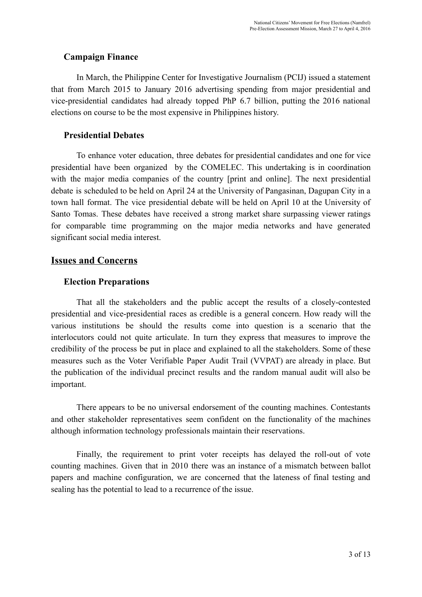### **Campaign Finance**

In March, the Philippine Center for Investigative Journalism (PCIJ) issued a statement that from March 2015 to January 2016 advertising spending from major presidential and vice-presidential candidates had already topped PhP 6.7 billion, putting the 2016 national elections on course to be the most expensive in Philippines history.

### **Presidential Debates**

To enhance voter education, three debates for presidential candidates and one for vice presidential have been organized by the COMELEC. This undertaking is in coordination with the major media companies of the country [print and online]. The next presidential debate is scheduled to be held on April 24 at the University of Pangasinan, Dagupan City in a town hall format. The vice presidential debate will be held on April 10 at the University of Santo Tomas. These debates have received a strong market share surpassing viewer ratings for comparable time programming on the major media networks and have generated significant social media interest.

# **Issues and Concerns**

## **Election Preparations**

That all the stakeholders and the public accept the results of a closelycontested presidential and vice-presidential races as credible is a general concern. How ready will the various institutions be should the results come into question is a scenario that the interlocutors could not quite articulate. In turn they express that measures to improve the credibility of the process be put in place and explained to all the stakeholders. Some of these measures such as the Voter Verifiable Paper Audit Trail (VVPAT) are already in place. But the publication of the individual precinct results and the random manual audit will also be important.

There appears to be no universal endorsement of the counting machines. Contestants and other stakeholder representatives seem confident on the functionality of the machines although information technology professionals maintain their reservations.

Finally, the requirement to print voter receipts has delayed the roll-out of vote counting machines. Given that in 2010 there was an instance of a mismatch between ballot papers and machine configuration, we are concerned that the lateness of final testing and sealing has the potential to lead to a recurrence of the issue.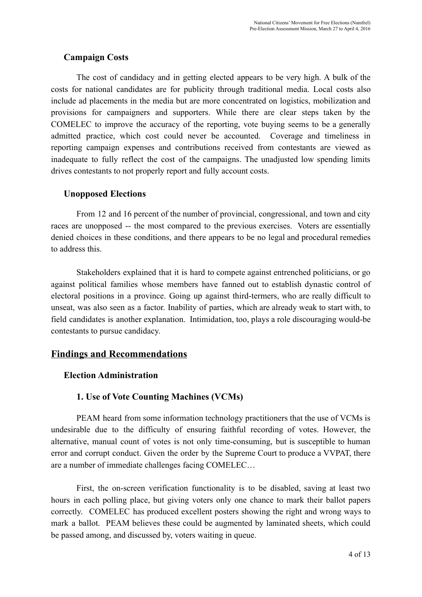#### **Campaign Costs**

The cost of candidacy and in getting elected appears to be very high. A bulk of the costs for national candidates are for publicity through traditional media. Local costs also include ad placements in the media but are more concentrated on logistics, mobilization and provisions for campaigners and supporters. While there are clear steps taken by the COMELEC to improve the accuracy of the reporting, vote buying seems to be a generally admitted practice, which cost could never be accounted. Coverage and timeliness in reporting campaign expenses and contributions received from contestants are viewed as inadequate to fully reflect the cost of the campaigns. The unadjusted low spending limits drives contestants to not properly report and fully account costs.

#### **Unopposed Elections**

From 12 and 16 percent of the number of provincial, congressional, and town and city races are unopposed -- the most compared to the previous exercises. Voters are essentially denied choices in these conditions, and there appears to be no legal and procedural remedies to address this.

Stakeholders explained that it is hard to compete against entrenched politicians, or go against political families whose members have fanned out to establish dynastic control of electoral positions in a province. Going up against third-termers, who are really difficult to unseat, was also seen as a factor. Inability of parties, which are already weak to start with, to field candidates is another explanation. Intimidation, too, plays a role discouraging would-be contestants to pursue candidacy.

### **Findings and Recommendations**

#### **Election Administration**

#### **1. Use of Vote Counting Machines (VCMs)**

PEAM heard from some information technology practitioners that the use of VCMs is undesirable due to the difficulty of ensuring faithful recording of votes. However, the alternative, manual count of votes is not only timeconsuming, but is susceptible to human error and corrupt conduct. Given the order by the Supreme Court to produce a VVPAT, there are a number of immediate challenges facing COMELEC…

First, the on-screen verification functionality is to be disabled, saving at least two hours in each polling place, but giving voters only one chance to mark their ballot papers correctly. COMELEC has produced excellent posters showing the right and wrong ways to mark a ballot. PEAM believes these could be augmented by laminated sheets, which could be passed among, and discussed by, voters waiting in queue.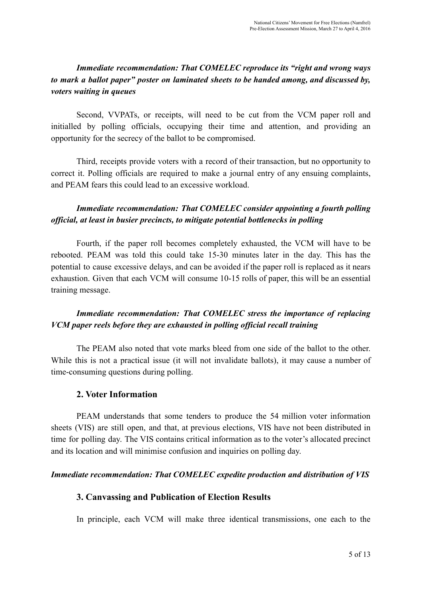## *Immediate recommendation: That COMELEC reproduce its "right and wrong ways to mark a ballot paper" poster on laminated sheets to be handed among, and discussed by, voters waiting in queues*

Second, VVPATs, or receipts, will need to be cut from the VCM paper roll and initialled by polling officials, occupying their time and attention, and providing an opportunity for the secrecy of the ballot to be compromised.

Third, receipts provide voters with a record of their transaction, but no opportunity to correct it. Polling officials are required to make a journal entry of any ensuing complaints, and PEAM fears this could lead to an excessive workload.

## *Immediate recommendation: That COMELEC consider appointing a fourth polling of icial, at least in busier precincts, to mitigate potential bottlenecks in polling*

Fourth, if the paper roll becomes completely exhausted, the VCM will have to be rebooted. PEAM was told this could take 1530 minutes later in the day. This has the potential to cause excessive delays, and can be avoided if the paper roll is replaced as it nears exhaustion. Given that each VCM will consume 10-15 rolls of paper, this will be an essential training message.

## *Immediate recommendation: That COMELEC stress the importance of replacing VCM paper reels before they are exhausted in polling of icial recall training*

The PEAM also noted that vote marks bleed from one side of the ballot to the other. While this is not a practical issue (it will not invalidate ballots), it may cause a number of time-consuming questions during polling.

### **2. Voter Information**

PEAM understands that some tenders to produce the 54 million voter information sheets (VIS) are still open, and that, at previous elections, VIS have not been distributed in time for polling day. The VIS contains critical information as to the voter's allocated precinct and its location and will minimise confusion and inquiries on polling day.

#### *Immediate recommendation: That COMELEC expedite production and distribution of VIS*

### **3. Canvassing and Publication of Election Results**

In principle, each VCM will make three identical transmissions, one each to the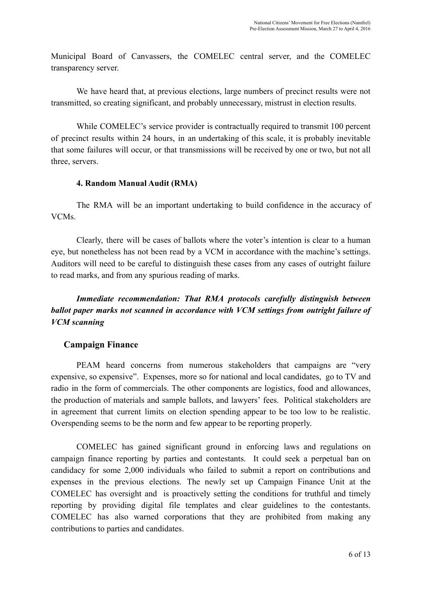Municipal Board of Canvassers, the COMELEC central server, and the COMELEC transparency server.

We have heard that, at previous elections, large numbers of precinct results were not transmitted, so creating significant, and probably unnecessary, mistrust in election results.

While COMELEC's service provider is contractually required to transmit 100 percent of precinct results within 24 hours, in an undertaking of this scale, it is probably inevitable that some failures will occur, or that transmissions will be received by one or two, but not all three, servers.

#### **4. Random Manual Audit (RMA)**

The RMA will be an important undertaking to build confidence in the accuracy of VCMs.

Clearly, there will be cases of ballots where the voter's intention is clear to a human eye, but nonetheless has not been read by a VCM in accordance with the machine's settings. Auditors will need to be careful to distinguish these cases from any cases of outright failure to read marks, and from any spurious reading of marks.

*Immediate recommendation: That RMA protocols carefully distinguish between ballot paper marks not scanned in accordance with VCM settings from outright failure of VCM scanning*

### **Campaign Finance**

PEAM heard concerns from numerous stakeholders that campaigns are "very expensive, so expensive". Expenses, more so for national and local candidates, go to TV and radio in the form of commercials. The other components are logistics, food and allowances, the production of materials and sample ballots, and lawyers' fees. Political stakeholders are in agreement that current limits on election spending appear to be too low to be realistic. Overspending seems to be the norm and few appear to be reporting properly.

COMELEC has gained significant ground in enforcing laws and regulations on campaign finance reporting by parties and contestants. It could seek a perpetual ban on candidacy for some 2,000 individuals who failed to submit a report on contributions and expenses in the previous elections. The newly set up Campaign Finance Unit at the COMELEC has oversight and is proactively setting the conditions for truthful and timely reporting by providing digital file templates and clear guidelines to the contestants. COMELEC has also warned corporations that they are prohibited from making any contributions to parties and candidates.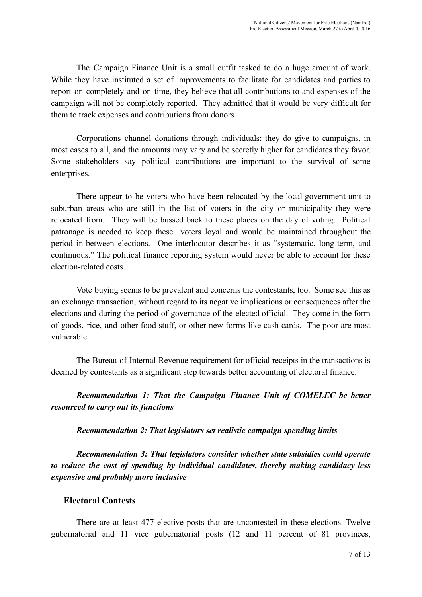The Campaign Finance Unit is a small outfit tasked to do a huge amount of work. While they have instituted a set of improvements to facilitate for candidates and parties to report on completely and on time, they believe that all contributions to and expenses of the campaign will not be completely reported. They admitted that it would be very difficult for them to track expenses and contributions from donors.

Corporations channel donations through individuals: they do give to campaigns, in most cases to all, and the amounts may vary and be secretly higher for candidates they favor. Some stakeholders say political contributions are important to the survival of some enterprises.

There appear to be voters who have been relocated by the local government unit to suburban areas who are still in the list of voters in the city or municipality they were relocated from. They will be bussed back to these places on the day of voting. Political patronage is needed to keep these voters loyal and would be maintained throughout the period in-between elections. One interlocutor describes it as "systematic, long-term, and continuous." The political finance reporting system would never be able to account for these election-related costs.

Vote buying seems to be prevalent and concerns the contestants, too. Some see this as an exchange transaction, without regard to its negative implications or consequences after the elections and during the period of governance of the elected official. They come in the form of goods, rice, and other food stuff, or other new forms like cash cards. The poor are most vulnerable.

The Bureau of Internal Revenue requirement for official receipts in the transactions is deemed by contestants as a significant step towards better accounting of electoral finance.

*Recommendation 1: That the Campaign Finance Unit of COMELEC be better resourced to carry out its functions*

#### *Recommendation 2: That legislators set realistic campaign spending limits*

*Recommendation 3: That legislators consider whether state subsidies could operate to reduce the cost of spending by individual candidates, thereby making candidacy less expensive and probably more inclusive*

#### **Electoral Contests**

There are at least 477 elective posts that are uncontested in these elections. Twelve gubernatorial and 11 vice gubernatorial posts (12 and 11 percent of 81 provinces,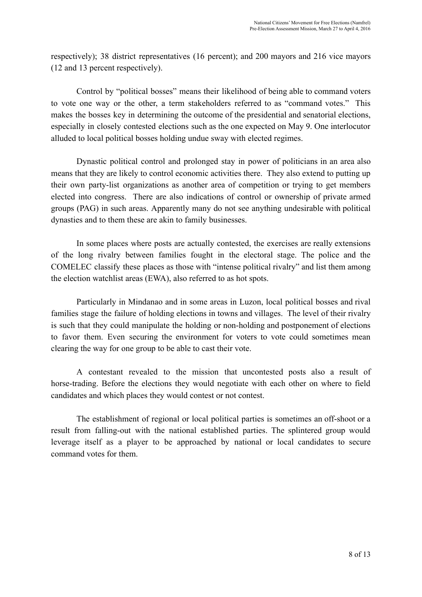respectively); 38 district representatives (16 percent); and 200 mayors and 216 vice mayors (12 and 13 percent respectively).

Control by "political bosses" means their likelihood of being able to command voters to vote one way or the other, a term stakeholders referred to as "command votes." This makes the bosses key in determining the outcome of the presidential and senatorial elections, especially in closely contested elections such as the one expected on May 9. One interlocutor alluded to local political bosses holding undue sway with elected regimes.

Dynastic political control and prolonged stay in power of politicians in an area also means that they are likely to control economic activities there. They also extend to putting up their own party-list organizations as another area of competition or trying to get members elected into congress. There are also indications of control or ownership of private armed groups (PAG) in such areas. Apparently many do not see anything undesirable with political dynasties and to them these are akin to family businesses.

In some places where posts are actually contested, the exercises are really extensions of the long rivalry between families fought in the electoral stage. The police and the COMELEC classify these places as those with "intense political rivalry" and list them among the election watchlist areas (EWA), also referred to as hot spots.

Particularly in Mindanao and in some areas in Luzon, local political bosses and rival families stage the failure of holding elections in towns and villages. The level of their rivalry is such that they could manipulate the holding or non-holding and postponement of elections to favor them. Even securing the environment for voters to vote could sometimes mean clearing the way for one group to be able to cast their vote.

A contestant revealed to the mission that uncontested posts also a result of horse-trading. Before the elections they would negotiate with each other on where to field candidates and which places they would contest or not contest.

The establishment of regional or local political parties is sometimes an off-shoot or a result from falling-out with the national established parties. The splintered group would leverage itself as a player to be approached by national or local candidates to secure command votes for them.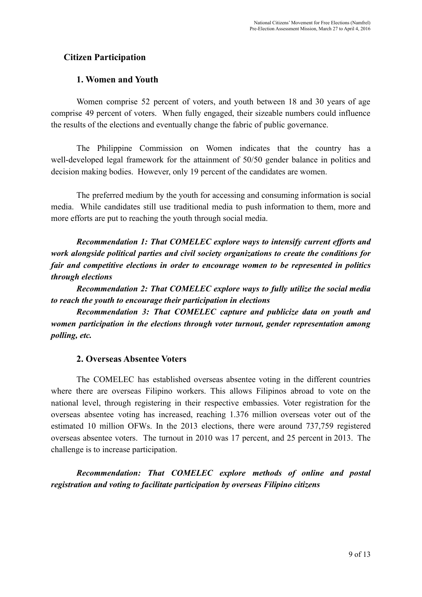## **Citizen Participation**

#### **1. Women and Youth**

Women comprise 52 percent of voters, and youth between 18 and 30 years of age comprise 49 percent of voters. When fully engaged, their sizeable numbers could influence the results of the elections and eventually change the fabric of public governance.

The Philippine Commission on Women indicates that the country has a well-developed legal framework for the attainment of 50/50 gender balance in politics and decision making bodies. However, only 19 percent of the candidates are women.

The preferred medium by the youth for accessing and consuming information is social media. While candidates still use traditional media to push information to them, more and more efforts are put to reaching the youth through social media.

*Recommendation 1: That COMELEC explore ways to intensify current ef orts and work alongside political parties and civil society organizations to create the conditions for fair and competitive elections in order to encourage women to be represented in politics through elections*

*Recommendation 2: That COMELEC explore ways to fully utilize the social media to reach the youth to encourage their participation in elections*

*Recommendation 3: That COMELEC capture and publicize data on youth and women participation in the elections through voter turnout, gender representation among polling, etc.*

#### **2. Overseas Absentee Voters**

The COMELEC has established overseas absentee voting in the different countries where there are overseas Filipino workers. This allows Filipinos abroad to vote on the national level, through registering in their respective embassies. Voter registration for the overseas absentee voting has increased, reaching 1.376 million overseas voter out of the estimated 10 million OFWs. In the 2013 elections, there were around 737,759 registered overseas absentee voters. The turnout in 2010 was 17 percent, and 25 percent in 2013. The challenge is to increase participation.

*Recommendation: That COMELEC explore methods of online and postal registration and voting to facilitate participation by overseas Filipino citizens*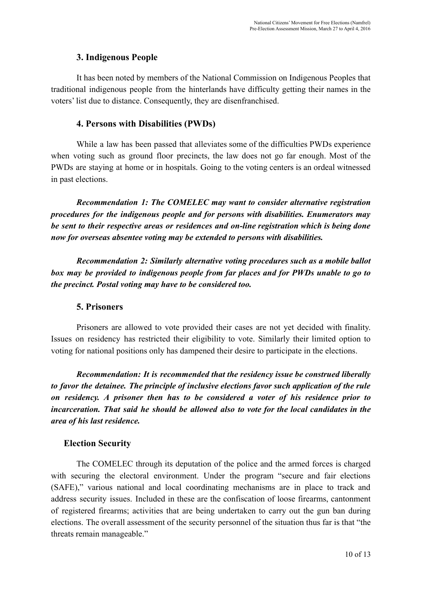### **3. Indigenous People**

It has been noted by members of the National Commission on Indigenous Peoples that traditional indigenous people from the hinterlands have difficulty getting their names in the voters' list due to distance. Consequently, they are disenfranchised.

#### **4. Persons with Disabilities (PWDs)**

While a law has been passed that alleviates some of the difficulties PWDs experience when voting such as ground floor precincts, the law does not go far enough. Most of the PWDs are staying at home or in hospitals. Going to the voting centers is an ordeal witnessed in past elections.

*Recommendation 1: The COMELEC may want to consider alternative registration procedures for the indigenous people and for persons with disabilities. Enumerators may be sent to their respective areas or residences and online registration which is being done now for overseas absentee voting may be extended to persons with disabilities.*

*Recommendation 2: Similarly alternative voting procedures such as a mobile ballot box may be provided to indigenous people from far places and for PWDs unable to go to the precinct. Postal voting may have to be considered too.*

### **5. Prisoners**

Prisoners are allowed to vote provided their cases are not yet decided with finality. Issues on residency has restricted their eligibility to vote. Similarly their limited option to voting for national positions only has dampened their desire to participate in the elections.

*Recommendation: It is recommended that the residency issue be construed liberally to favor the detainee. The principle of inclusive elections favor such application of the rule on residency. A prisoner then has to be considered a voter of his residence prior to incarceration. That said he should be allowed also to vote for the local candidates in the area of his last residence.*

### **Election Security**

The COMELEC through its deputation of the police and the armed forces is charged with securing the electoral environment. Under the program "secure and fair elections (SAFE)," various national and local coordinating mechanisms are in place to track and address security issues. Included in these are the confiscation of loose firearms, cantonment of registered firearms; activities that are being undertaken to carry out the gun ban during elections. The overall assessment of the security personnel of the situation thus far is that "the threats remain manageable."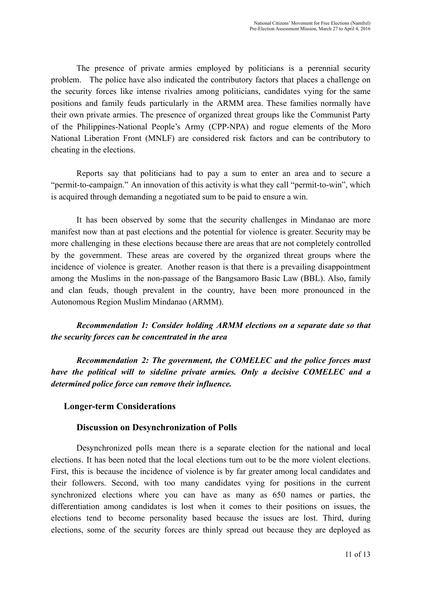The presence of private armies employed by politicians is a perennial security problem. The police have also indicated the contributory factors that places a challenge on the security forces like intense rivalries among politicians, candidates vying for the same positions and family feuds particularly in the ARMM area. These families normally have their own private armies. The presence of organized threat groups like the Communist Party of the Philippines-National People's Army (CPP-NPA) and rogue elements of the Moro National Liberation Front (MNLF) are considered risk factors and can be contributory to cheating in the elections.

Reports say that politicians had to pay a sum to enter an area and to secure a "permit-to-campaign." An innovation of this activity is what they call "permit-to-win", which is acquired through demanding a negotiated sum to be paid to ensure a win.

It has been observed by some that the security challenges in Mindanao are more manifest now than at past elections and the potential for violence is greater. Security may be more challenging in these elections because there are areas that are not completely controlled by the government. These areas are covered by the organized threat groups where the incidence of violence is greater. Another reason is that there is a prevailing disappointment among the Muslims in the non-passage of the Bangsamoro Basic Law (BBL). Also, family and clan feuds, though prevalent in the country, have been more pronounced in the Autonomous Region Muslim Mindanao (ARMM).

*Recommendation 1: Consider holding ARMM elections on a separate date so that the security forces can be concentrated in the area*

*Recommendation 2: The government, the COMELEC and the police forces must have the political will to sideline private armies. Only a decisive COMELEC and a determined police force can remove their influence.*

### **Longer-term Considerations**

#### **Discussion on Desynchronization of Polls**

Desynchronized polls mean there is a separate election for the national and local elections. It has been noted that the local elections turn out to be the more violent elections. First, this is because the incidence of violence is by far greater among local candidates and their followers. Second, with too many candidates vying for positions in the current synchronized elections where you can have as many as 650 names or parties, the differentiation among candidates is lost when it comes to their positions on issues, the elections tend to become personality based because the issues are lost. Third, during elections, some of the security forces are thinly spread out because they are deployed as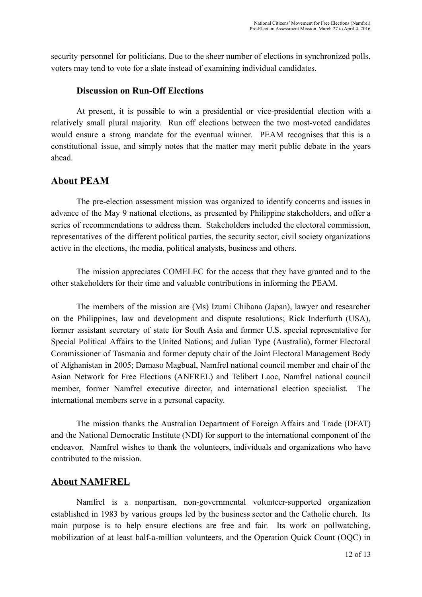security personnel for politicians. Due to the sheer number of elections in synchronized polls, voters may tend to vote for a slate instead of examining individual candidates.

#### **Discussion on Run-Off Elections**

At present, it is possible to win a presidential or vice-presidential election with a relatively small plural majority. Run off elections between the two most-voted candidates would ensure a strong mandate for the eventual winner. PEAM recognises that this is a constitutional issue, and simply notes that the matter may merit public debate in the years ahead.

### **About PEAM**

The pre-election assessment mission was organized to identify concerns and issues in advance of the May 9 national elections, as presented by Philippine stakeholders, and offer a series of recommendations to address them. Stakeholders included the electoral commission, representatives of the different political parties, the security sector, civil society organizations active in the elections, the media, political analysts, business and others.

The mission appreciates COMELEC for the access that they have granted and to the other stakeholders for their time and valuable contributions in informing the PEAM.

The members of the mission are (Ms) Izumi Chibana (Japan), lawyer and researcher on the Philippines, law and development and dispute resolutions; Rick Inderfurth (USA), former assistant secretary of state for South Asia and former U.S. special representative for Special Political Affairs to the United Nations; and Julian Type (Australia), former Electoral Commissioner of Tasmania and former deputy chair of the Joint Electoral Management Body of Afghanistan in 2005; Damaso Magbual, Namfrel national council member and chair of the Asian Network for Free Elections (ANFREL) and Telibert Laoc, Namfrel national council member, former Namfrel executive director, and international election specialist. The international members serve in a personal capacity.

The mission thanks the Australian Department of Foreign Affairs and Trade (DFAT) and the National Democratic Institute (NDI) for support to the international component of the endeavor. Namfrel wishes to thank the volunteers, individuals and organizations who have contributed to the mission.

# **About NAMFREL**

Namfrel is a nonpartisan, non-governmental volunteer-supported organization established in 1983 by various groups led by the business sector and the Catholic church. Its main purpose is to help ensure elections are free and fair. Its work on pollwatching, mobilization of at least half-a-million volunteers, and the Operation Quick Count (OQC) in